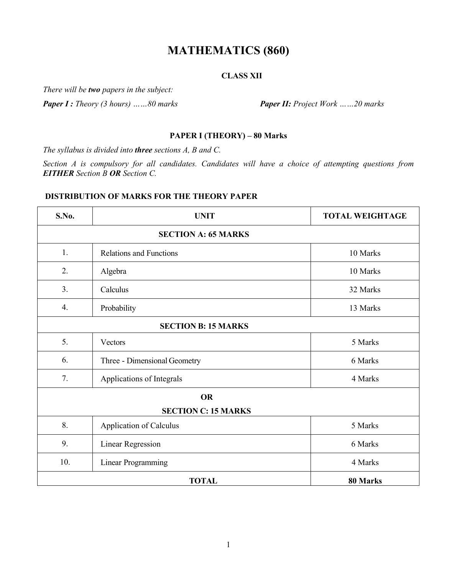# **MATHEMATICS (860)**

## **CLASS XII**

*There will be two papers in the subject:*

*Paper I : Theory (3 hours) ……80 marks Paper II: Project Work ……20 marks*

## **PAPER I (THEORY) – 80 Marks**

*The syllabus is divided into three sections A, B and C.* 

*Section A is compulsory for all candidates. Candidates will have a choice of attempting questions from EITHER Section B OR Section C.* 

## **DISTRIBUTION OF MARKS FOR THE THEORY PAPER**

| S.No.                      | <b>UNIT</b>                                | <b>TOTAL WEIGHTAGE</b> |  |  |  |  |  |
|----------------------------|--------------------------------------------|------------------------|--|--|--|--|--|
| <b>SECTION A: 65 MARKS</b> |                                            |                        |  |  |  |  |  |
| 1.                         | <b>Relations and Functions</b><br>10 Marks |                        |  |  |  |  |  |
| 2.                         | Algebra<br>10 Marks                        |                        |  |  |  |  |  |
| 3.                         | Calculus<br>32 Marks                       |                        |  |  |  |  |  |
| 4.                         | Probability<br>13 Marks                    |                        |  |  |  |  |  |
| <b>SECTION B: 15 MARKS</b> |                                            |                        |  |  |  |  |  |
| 5.                         | 5 Marks<br>Vectors                         |                        |  |  |  |  |  |
| 6.                         | 6 Marks<br>Three - Dimensional Geometry    |                        |  |  |  |  |  |
| 7.                         | Applications of Integrals                  | 4 Marks                |  |  |  |  |  |
|                            | <b>OR</b>                                  |                        |  |  |  |  |  |
| <b>SECTION C: 15 MARKS</b> |                                            |                        |  |  |  |  |  |
| 8.                         | Application of Calculus                    | 5 Marks                |  |  |  |  |  |
| 9.                         | 6 Marks<br>Linear Regression               |                        |  |  |  |  |  |
| 10.                        | <b>Linear Programming</b><br>4 Marks       |                        |  |  |  |  |  |
| <b>TOTAL</b><br>80 Marks   |                                            |                        |  |  |  |  |  |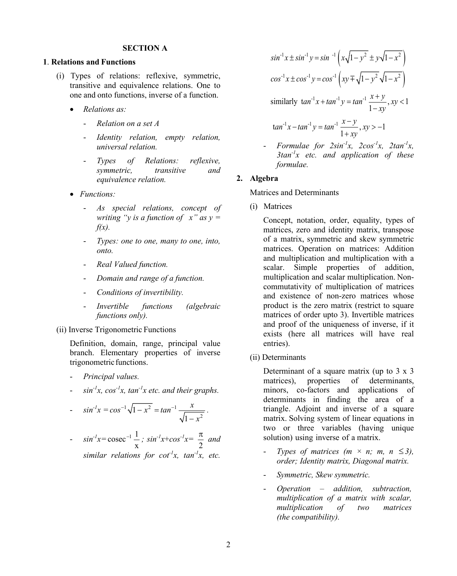#### **SECTION A**

#### **1**. **Relations and Functions**

- (i) Types of relations: reflexive, symmetric, transitive and equivalence relations. One to one and onto functions, inverse of a function.
	- *Relations as:*
		- *Relation on a set A*
		- *Identity relation, empty relation, universal relation.*
		- *Types of Relations: reflexive, symmetric, transitive and equivalence relation.*
	- *Functions:*
		- *As special relations, concept of writing "y is a function of*  $x$ *" as y =*  $f(x)$ .
		- *Types: one to one, many to one, into, onto.*
		- *Real Valued function.*
		- *Domain and range of a function.*
		- *Conditions of invertibility.*
		- *Invertible functions (algebraic functions only).*
- (ii) Inverse Trigonometric Functions

Definition, domain, range, principal value branch. Elementary properties of inverse trigonometric functions.

- *Principal values.*
- *sin-1 x, cos-1 x, tan-1 x etc. and their graphs.*

$$
-\sin^{-1}x = \cos^{-1}\sqrt{1-x^2} = \tan^{-1}\frac{x}{\sqrt{1-x^2}}.
$$

$$
-\sin^{-1}x = \csc^{-1}\frac{1}{x}; \sin^{-1}x + \cos^{-1}x = \frac{\pi}{2} \text{ and}
$$
  
similar relations for  $\cot^{-1}x$ ,  $\tan^{-1}x$ , etc.

$$
\sin^{-1} x \pm \sin^{-1} y = \sin^{-1} \left( x \sqrt{1 - y^2} \pm y \sqrt{1 - x^2} \right)
$$
  
\n
$$
\cos^{-1} x \pm \cos^{-1} y = \cos^{-1} \left( xy \mp \sqrt{1 - y^2} \sqrt{1 - x^2} \right)
$$
  
\nsimilarly  $\tan^{-1} x + \tan^{-1} y = \tan^{-1} \frac{x + y}{1 - xy}, xy < 1$   
\n $\tan^{-1} x - \tan^{-1} y = \tan^{-1} \frac{x - y}{1 + xy}, xy > -1$ 

- *Formulae for 2sin-1 x, 2cos-1 x, 2tan-1 x, 3tan-1 x etc. and application of these formulae.*

#### **2. Algebra**

Matrices and Determinants

(i) Matrices

Concept, notation, order, equality, types of matrices, zero and identity matrix, transpose of a matrix, symmetric and skew symmetric matrices. Operation on matrices: Addition and multiplication and multiplication with a scalar. Simple properties of addition, multiplication and scalar multiplication. Noncommutativity of multiplication of matrices and existence of non-zero matrices whose product is the zero matrix (restrict to square matrices of order upto 3). Invertible matrices and proof of the uniqueness of inverse, if it exists (here all matrices will have real entries).

(ii) Determinants

Determinant of a square matrix (up to 3 x 3) matrices), properties of determinants, minors, co-factors and applications of determinants in finding the area of a triangle. Adjoint and inverse of a square matrix. Solving system of linear equations in two or three variables (having unique solution) using inverse of a matrix.

- *Types of matrices (m*  $\times$  *n; m, n*  $\leq$  3), *order; Identity matrix, Diagonal matrix.*
- *Symmetric, Skew symmetric.*
- *Operation – addition, subtraction, multiplication of a matrix with scalar, multiplication of two matrices (the compatibility).*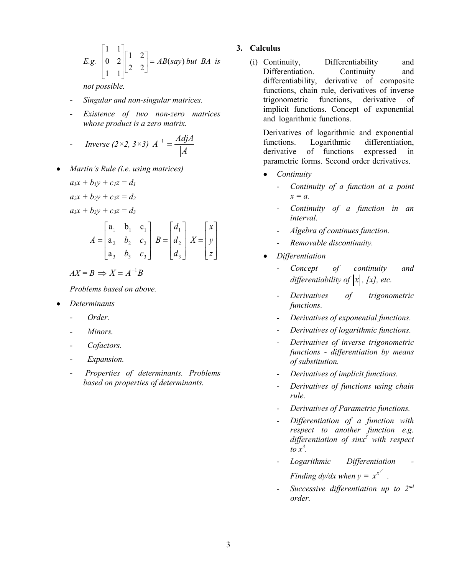*E.g.* 
$$
\begin{bmatrix} 1 & 1 \\ 0 & 2 \\ 1 & 1 \end{bmatrix} \begin{bmatrix} 1 & 2 \\ 2 & 2 \end{bmatrix} = AB(say) \text{ but } BA \text{ is}
$$

*not possible.*

- *Singular and non-singular matrices.*
- *Existence of two non-zero matrices whose product is a zero matrix.*

$$
Inverse (2 \times 2, 3 \times 3) A^{-1} = \frac{Adj A}{|A|}
$$

• *Martin's Rule (i.e. using matrices)*  $a_1x + b_1y + c_1z = d_1$  $a_2x + b_2y + c_2z = d_2$  $a_3x + b_3y + c_3z = d_3$ 

$$
A = \begin{bmatrix} a_1 & b_1 & c_1 \\ a_2 & b_2 & c_2 \\ a_3 & b_3 & c_3 \end{bmatrix} B = \begin{bmatrix} d_1 \\ d_2 \\ d_3 \end{bmatrix} X = \begin{bmatrix} x \\ y \\ z \end{bmatrix}
$$

$$
AX = B \implies X = A^{-1}B
$$

*Problems based on above.*

• *Determinants*

- *Order.*

- - *Minors.*
- - *Cofactors.*
- *Expansion.*
- *Properties of determinants. Problems based on properties of determinants.*

#### **3. Calculus**

(i) Continuity, Differentiability and Differentiation. Continuity and differentiability, derivative of composite functions, chain rule, derivatives of inverse<br>trigonometric functions, derivative of trigonometric functions, derivative of implicit functions. Concept of exponential and logarithmic functions.

Derivatives of logarithmic and exponential<br>functions. Logarithmic differentiation. functions. Logarithmic differentiation,<br>derivative of functions expressed in of functions expressed in parametric forms. Second order derivatives.

- *Continuity*
	- *Continuity of a function at a point x = a.*
	- *Continuity of a function in an interval.*
	- *Algebra of continues function.*
	- *Removable discontinuity.*
- *Differentiation*
	- *Concept of continuity and differentiability of*  $|x|$ *, [x], etc.*
	- *Derivatives of trigonometric functions.*
	- *Derivatives of exponential functions.*
	- *Derivatives of logarithmic functions.*
	- *Derivatives of inverse trigonometric functions - differentiation by means of substitution.*
	- *Derivatives of implicit functions.*
	- *Derivatives of functions using chain rule.*
	- *Derivatives of Parametric functions.*
	- *Differentiation of a function with respect to another function e.g. differentiation of sinx<sup>3</sup> with respect to x<sup>3</sup> .*
	- *Logarithmic Differentiation - Finding dy/dx when*  $y = x^{x^x}$ .
	- *Successive differentiation up to 2nd order.*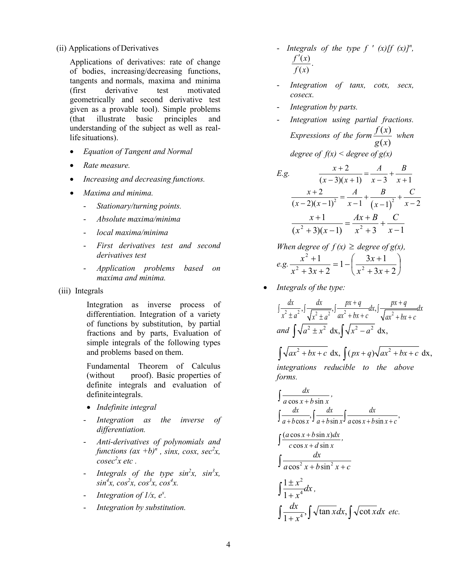(ii) Applications of Derivatives

Applications of derivatives: rate of change of bodies, increasing/decreasing functions, tangents and normals, maxima and minima (first derivative test motivated geometrically and second derivative test given as a provable tool). Simple problems (that illustrate basic principles and understanding of the subject as well as reallife situations).

- *Equation of Tangent and Normal*
- *Rate measure.*
- *Increasing and decreasing functions.*
- *Maxima and minima.*
	- *Stationary/turning points.*
	- *Absolute maxima/minima*
	- *local maxima/minima*
	- *First derivatives test and second derivatives test*
	- *Application problems based on maxima and minima.*
- (iii) Integrals

Integration as inverse process of differentiation. Integration of a variety of functions by substitution, by partial fractions and by parts, Evaluation of simple integrals of the following types and problems based on them.

Fundamental Theorem of Calculus (without proof). Basic properties of definite integrals and evaluation of definite integrals.

- *Indefinite integral*
- *Integration as the inverse of differentiation.*
- *Anti-derivatives of polynomials and functions*  $(ax +b)^n$ , *sinx*, *cosx*, *sec*<sup>2</sup>*x*, *cosec<sup>2</sup> x etc .*
- *Integrals of the type sin<sup>2</sup>x, sin<sup>3</sup>x, sin<sup>4</sup> x, cos<sup>2</sup> x, cos<sup>3</sup> x, cos<sup>4</sup> x.*
- *Integration of 1/x, e<sup>x</sup> .*
- *Integration by substitution.*
- *Integrals of the type f'*  $(x)[f(x)]^n$ ,  $\frac{r(x)}{(x)}$ . *f x f x* ′
- Integration of tanx, cotx, secx, *cosecx.*
- *Integration by parts.*
- *Integration using partial fractions. Expressions of the form*  $\frac{f(x)}{g(x)}$  $\left( x\right)$ *g x*  $\frac{f(x)}{f(x)}$  when *degree of f(x) < degree of g(x)*

E.g. 
$$
\frac{x+2}{(x-3)(x+1)} = \frac{A}{x-3} + \frac{B}{x+1}
$$

$$
\frac{x+2}{(x-2)(x-1)^2} = \frac{A}{x-1} + \frac{B}{(x-1)^2} + \frac{C}{x-2}
$$

$$
\frac{x+1}{(x^2+3)(x-1)} = \frac{Ax+B}{x^2+3} + \frac{C}{x-1}
$$

When degree of 
$$
f(x) \ge
$$
 degree of  $g(x)$ ,  
e.g. 
$$
\frac{x^2 + 1}{x^2 + 3x + 2} = 1 - \left(\frac{3x + 1}{x^2 + 3x + 2}\right)
$$

• *Integrals of the type:*

*forms.*

$$
\int \frac{dx}{x^2 \pm a^2}, \int \frac{dx}{\sqrt{x^2 \pm a^2}}, \int \frac{px+q}{ax^2 + bx + c} dx, \int \frac{px+q}{\sqrt{ax^2 + bx + c}} dx
$$
  
and 
$$
\int \sqrt{a^2 \pm x^2} dx, \int \sqrt{x^2 - a^2} dx,
$$

 $\int \sqrt{ax^2 + bx + c} \, dx$ ,  $\int (px + q) \sqrt{ax^2 + bx + c} \, dx$ , *integrations reducible to the above*

$$
\int \frac{dx}{a \cos x + b \sin x},
$$
\n
$$
\int \frac{dx}{a + b \cos x}, \int \frac{dx}{a + b \sin x}, \int \frac{dx}{a \cos x + b \sin x + c},
$$
\n
$$
\int \frac{(a \cos x + b \sin x)dx}{c \cos x + d \sin x},
$$
\n
$$
\int \frac{dx}{a \cos^2 x + b \sin^2 x + c}
$$
\n
$$
\int \frac{1 \pm x^2}{1 + x^4} dx,
$$
\n
$$
\int \frac{dx}{1 + x^4}, \int \sqrt{\tan x} dx, \int \sqrt{\cot x} dx \text{ etc.}
$$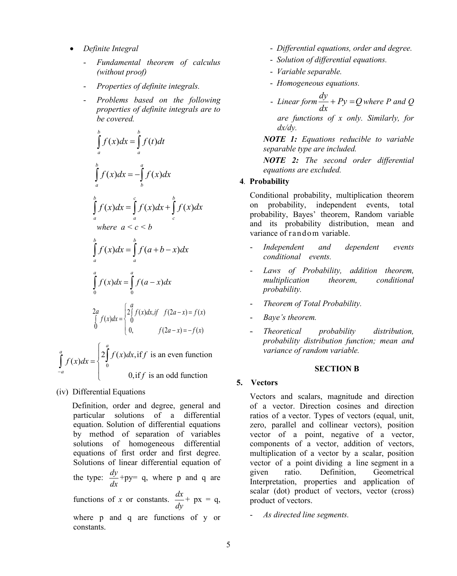- *Definite Integral*
	- *Fundamental theorem of calculus (without proof)*
	- *Properties of definite integrals.*
	- *Problems based on the following properties of definite integrals are to be covered.*

$$
\int_{a}^{b} f(x)dx = \int_{a}^{b} f(t)dt
$$
\n
$$
\int_{a}^{b} f(x)dx = -\int_{b}^{a} f(x)dx
$$
\n
$$
\int_{a}^{b} f(x)dx = \int_{a}^{c} f(x)dx + \int_{c}^{b} f(x)dx
$$
\nwhere  $a < c < b$ \n
$$
\int_{a}^{b} f(x)dx = \int_{a}^{b} f(a+b-x)dx
$$
\n
$$
\int_{0}^{a} f(x)dx = \int_{0}^{a} f(a-x)dx
$$
\n
$$
\int_{0}^{a} f(x)dx = \int_{0}^{a} f(a-x)dx
$$
\n
$$
\int_{0}^{2a} f(x)dx = \begin{cases} 2\int_{0}^{a} f(x)dx, & \text{if } f(2a-x) = f(x) \\ 0, & \text{if } f(2a-x) = -f(x) \end{cases}
$$
\n
$$
\int_{-a}^{a} f(x)dx = \begin{cases} 2\int_{0}^{a} f(x)dx, & \text{if } f \text{ is an even function} \\ 0, & \text{if } f \text{ is an odd function} \end{cases}
$$

(iv) Differential Equations

*a*

 Definition, order and degree, general and particular solutions of a differential equation. Solution of differential equations by method of separation of variables solutions of homogeneous differential equations of first order and first degree. Solutions of linear differential equation of the type:  $\frac{dy}{dx}$ *dx* +py= q, where p and q are functions of *x* or constants.  $\frac{dx}{dx}$ *dy*  $+ px = q$ , where p and q are functions of y or constants.

- *Differential equations, order and degree.*
- *Solution of differential equations.*
- *Variable separable.*
- *Homogeneous equations.*
- $\frac{1}{dx}$  *Linear form*  $\frac{dy}{dx}$  +  $Py$  = Q where P and Q

*are functions of x only. Similarly, for dx/dy.*

*NOTE 1: Equations reducible to variable separable type are included.* 

*NOTE 2: The second order differential equations are excluded.*

#### **4***.* **Probability**

Conditional probability, multiplication theorem on probability, independent events, total probability, Bayes' theorem, Random variable and its probability distribution, mean and variance of random variable.

- *Independent and dependent events conditional events.*
- *Laws of Probability, addition theorem, multiplication theorem, conditional probability.*
- *Theorem of Total Probability.*
- *Baye's theorem.*
- *Theoretical probability distribution, probability distribution function; mean and variance of random variable.*

#### **SECTION B**

#### **5. Vectors**

Vectors and scalars, magnitude and direction of a vector. Direction cosines and direction ratios of a vector. Types of vectors (equal, unit, zero, parallel and collinear vectors), position vector of a point, negative of a vector, components of a vector, addition of vectors, multiplication of a vector by a scalar, position vector of a point dividing a line segment in a given ratio. Definition, Geometrical Interpretation, properties and application of scalar (dot) product of vectors, vector (cross) product of vectors.

- *As directed line segments.*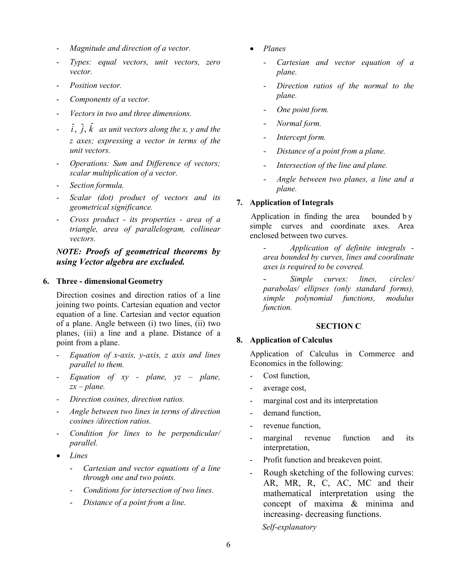- *Magnitude and direction of a vector.*
- *Types: equal vectors, unit vectors, zero vector.*
- *Position vector.*
- *Components of a vector.*
- *Vectors in two and three dimensions.*
- $\hat{i}$ ,  $\hat{j}$ ,  $\hat{k}$  as *unit vectors along the x, y and the z axes; expressing a vector in terms of the unit vectors.*
- *Operations: Sum and Difference of vectors; scalar multiplication of a vector.*
- *Section formula.*
- *Scalar (dot) product of vectors and its geometrical significance.*
- *Cross product - its properties - area of a triangle, area of parallelogram, collinear vectors.*

*NOTE: Proofs of geometrical theorems by using Vector algebra are excluded.* 

#### **6. Three - dimensional Geometry**

Direction cosines and direction ratios of a line joining two points. Cartesian equation and vector equation of a line. Cartesian and vector equation of a plane. Angle between (i) two lines, (ii) two planes, (iii) a line and a plane. Distance of a point from a plane.

- *Equation of x-axis, y-axis, z axis and lines parallel to them.*
- *Equation of xy - plane, yz – plane, zx – plane.*
- *Direction cosines, direction ratios.*
- *Angle between two lines in terms of direction cosines /direction ratios.*
- *Condition for lines to be perpendicular/ parallel.*
- *Lines*
	- *Cartesian and vector equations of a line through one and two points.*
	- *Conditions for intersection of two lines.*
	- *Distance of a point from a line.*
- *Planes*
	- *Cartesian and vector equation of a plane.*
	- *Direction ratios of the normal to the plane.*
	- *One point form.*
	- *Normal form.*
	- *Intercept form.*
	- *Distance of a point from a plane.*
	- *Intersection of the line and plane.*
	- *Angle between two planes, a line and a plane.*

#### **7. Application of Integrals**

 Application in finding the area bounded by simple curves and coordinate axes. Area enclosed between two curves.

- *Application of definite integrals area bounded by curves, lines and coordinate axes is required to be covered.* 

- *Simple curves: lines, circles/ parabolas/ ellipses (only standard forms), simple polynomial functions, modulus function.*

#### **SECTION C**

#### **8. Application of Calculus**

Application of Calculus in Commerce and Economics in the following:

- Cost function,
- average cost,
- marginal cost and its interpretation
- demand function,
- revenue function,
- marginal revenue function and its interpretation,
- Profit function and breakeven point.
- Rough sketching of the following curves: AR, MR, R, C, AC, MC and their mathematical interpretation using the concept of maxima & minima and increasing- decreasing functions.  *Self-explanatory*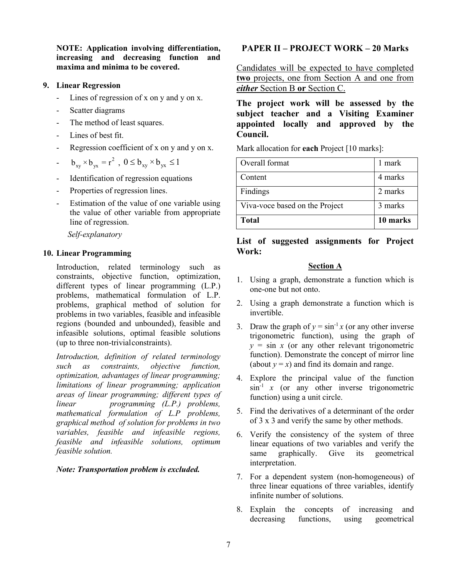**NOTE: Application involving differentiation, increasing and decreasing function and maxima and minima to be covered.**

#### **9. Linear Regression**

- Lines of regression of x on y and y on x.
- Scatter diagrams
- The method of least squares.
- Lines of best fit.
- Regression coefficient of x on y and y on x.
- $b_{xy} \times b_{yx} = r^2$ ,  $0 \le b_{xy} \times b_{yx} \le 1$
- Identification of regression equations
- Properties of regression lines.
- Estimation of the value of one variable using the value of other variable from appropriate line of regression.

 *Self-explanatory*

## **10. Linear Programming**

Introduction, related terminology such as constraints, objective function, optimization, different types of linear programming (L.P.) problems, mathematical formulation of L.P. problems, graphical method of solution for problems in two variables, feasible and infeasible regions (bounded and unbounded), feasible and infeasible solutions, optimal feasible solutions (up to three non-trivialconstraints).

*Introduction, definition of related terminology such as constraints, objective function, optimization, advantages of linear programming; limitations of linear programming; application areas of linear programming; different types of linear programming (L.P.) problems, mathematical formulation of L.P problems, graphical method of solution for problems in two variables, feasible and infeasible regions, feasible and infeasible solutions, optimum feasible solution.*

## *Note: Transportation problem is excluded.*

## **PAPER II – PROJECT WORK – 20 Marks**

Candidates will be expected to have completed **two** projects, one from Section A and one from *either* Section B **or** Section C.

**The project work will be assessed by the subject teacher and a Visiting Examiner appointed locally and approved by the Council.**

Mark allocation for **each** Project [10 marks]:

| Overall format                 | 1 mark   |
|--------------------------------|----------|
| Content                        | 4 marks  |
| Findings                       | 2 marks  |
| Viva-voce based on the Project | 3 marks  |
| <b>Total</b>                   | 10 marks |

## **List of suggested assignments for Project Work:**

## **Section A**

- 1. Using a graph, demonstrate a function which is one-one but not onto.
- 2. Using a graph demonstrate a function which is invertible.
- 3. Draw the graph of  $y = \sin^{-1} x$  (or any other inverse trigonometric function), using the graph of  $y = \sin x$  (or any other relevant trigonometric function). Demonstrate the concept of mirror line (about  $y = x$ ) and find its domain and range.
- 4. Explore the principal value of the function  $\sin^{-1} x$  (or any other inverse trigonometric function) using a unit circle.
- 5. Find the derivatives of a determinant of the order of 3 x 3 and verify the same by other methods.
- 6. Verify the consistency of the system of three linear equations of two variables and verify the same graphically. Give its geometrical interpretation.
- 7. For a dependent system (non-homogeneous) of three linear equations of three variables, identify infinite number of solutions.
- 8. Explain the concepts of increasing and decreasing functions, using geometrical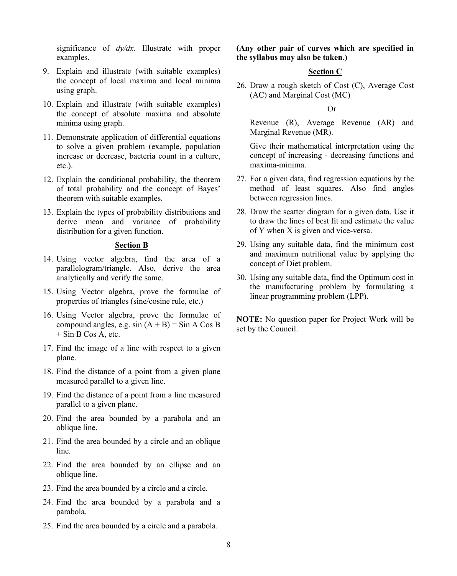significance of *dy/dx*. Illustrate with proper examples.

- 9. Explain and illustrate (with suitable examples) the concept of local maxima and local minima using graph.
- 10. Explain and illustrate (with suitable examples) the concept of absolute maxima and absolute minima using graph.
- 11. Demonstrate application of differential equations to solve a given problem (example, population increase or decrease, bacteria count in a culture, etc.).
- 12. Explain the conditional probability, the theorem of total probability and the concept of Bayes' theorem with suitable examples.
- 13. Explain the types of probability distributions and derive mean and variance of probability distribution for a given function.

#### **Section B**

- 14. Using vector algebra, find the area of a parallelogram/triangle. Also, derive the area analytically and verify the same.
- 15. Using Vector algebra, prove the formulae of properties of triangles (sine/cosine rule, etc.)
- 16. Using Vector algebra, prove the formulae of compound angles, e.g.  $sin (A + B) = Sin A Cos B$  $+$  Sin B Cos A, etc.
- 17. Find the image of a line with respect to a given plane.
- 18. Find the distance of a point from a given plane measured parallel to a given line.
- 19. Find the distance of a point from a line measured parallel to a given plane.
- 20. Find the area bounded by a parabola and an oblique line.
- 21. Find the area bounded by a circle and an oblique line.
- 22. Find the area bounded by an ellipse and an oblique line.
- 23. Find the area bounded by a circle and a circle.
- 24. Find the area bounded by a parabola and a parabola.
- 25. Find the area bounded by a circle and a parabola.

**(Any other pair of curves which are specified in the syllabus may also be taken.)**

#### **Section C**

26. Draw a rough sketch of Cost (C), Average Cost (AC) and Marginal Cost (MC)

Or

Revenue (R), Average Revenue (AR) and Marginal Revenue (MR).

Give their mathematical interpretation using the concept of increasing - decreasing functions and maxima-minima.

- 27. For a given data, find regression equations by the method of least squares. Also find angles between regression lines.
- 28. Draw the scatter diagram for a given data. Use it to draw the lines of best fit and estimate the value of Y when X is given and vice-versa.
- 29. Using any suitable data, find the minimum cost and maximum nutritional value by applying the concept of Diet problem.
- 30. Using any suitable data, find the Optimum cost in the manufacturing problem by formulating a linear programming problem (LPP).

**NOTE:** No question paper for Project Work will be set by the Council.